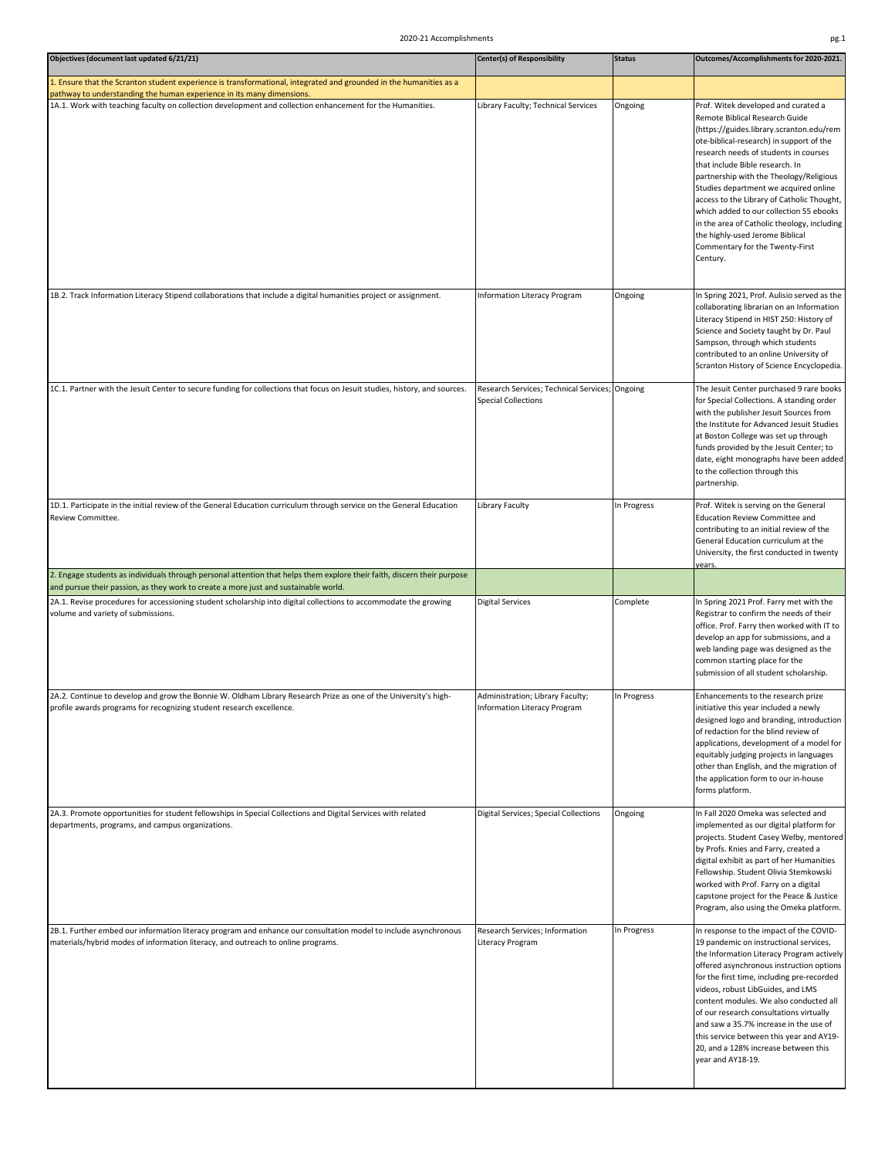| Objectives (document last updated 6/21/21)                                                                                                                                                                     | <b>Center(s) of Responsibility</b>                                           | <b>Status</b> | Outcomes/Accomplishments for 2020-2021.                                                                                                                                                                                                                                                                                                                                                                                                                                                                                                                 |
|----------------------------------------------------------------------------------------------------------------------------------------------------------------------------------------------------------------|------------------------------------------------------------------------------|---------------|---------------------------------------------------------------------------------------------------------------------------------------------------------------------------------------------------------------------------------------------------------------------------------------------------------------------------------------------------------------------------------------------------------------------------------------------------------------------------------------------------------------------------------------------------------|
| 1. Ensure that the Scranton student experience is transformational, integrated and grounded in the humanities as a<br>pathway to understanding the human experience in its many dimensions.                    |                                                                              |               |                                                                                                                                                                                                                                                                                                                                                                                                                                                                                                                                                         |
| 1A.1. Work with teaching faculty on collection development and collection enhancement for the Humanities.                                                                                                      | Library Faculty; Technical Services                                          | Ongoing       | Prof. Witek developed and curated a<br>Remote Biblical Research Guide<br>(https://guides.library.scranton.edu/rem<br>ote-biblical-research) in support of the<br>research needs of students in courses<br>that include Bible research. In<br>partnership with the Theology/Religious<br>Studies department we acquired online<br>access to the Library of Catholic Thought,<br>which added to our collection 55 ebooks<br>in the area of Catholic theology, including<br>the highly-used Jerome Biblical<br>Commentary for the Twenty-First<br>Century. |
| 1B.2. Track Information Literacy Stipend collaborations that include a digital humanities project or assignment.                                                                                               | <b>Information Literacy Program</b>                                          | Ongoing       | In Spring 2021, Prof. Aulisio served as the<br>collaborating librarian on an Information<br>Literacy Stipend in HIST 250: History of<br>Science and Society taught by Dr. Paul<br>Sampson, through which students<br>contributed to an online University of<br>Scranton History of Science Encyclopedia.                                                                                                                                                                                                                                                |
| 1C.1. Partner with the Jesuit Center to secure funding for collections that focus on Jesuit studies, history, and sources.                                                                                     | Research Services; Technical Services; Ongoing<br><b>Special Collections</b> |               | The Jesuit Center purchased 9 rare books<br>for Special Collections. A standing order<br>with the publisher Jesuit Sources from<br>the Institute for Advanced Jesuit Studies<br>at Boston College was set up through<br>funds provided by the Jesuit Center; to<br>date, eight monographs have been added<br>to the collection through this<br>partnership.                                                                                                                                                                                             |
| 1D.1. Participate in the initial review of the General Education curriculum through service on the General Education<br>Review Committee.                                                                      | Library Faculty                                                              | In Progress   | Prof. Witek is serving on the General<br>Education Review Committee and<br>contributing to an initial review of the<br>General Education curriculum at the<br>University, the first conducted in twenty<br>years.                                                                                                                                                                                                                                                                                                                                       |
| 2. Engage students as individuals through personal attention that helps them explore their faith, discern their purpose<br>and pursue their passion, as they work to create a more just and sustainable world. |                                                                              |               |                                                                                                                                                                                                                                                                                                                                                                                                                                                                                                                                                         |
| 2A.1. Revise procedures for accessioning student scholarship into digital collections to accommodate the growing<br>volume and variety of submissions.                                                         | <b>Digital Services</b>                                                      | Complete      | In Spring 2021 Prof. Farry met with the<br>Registrar to confirm the needs of their<br>office. Prof. Farry then worked with IT to<br>develop an app for submissions, and a<br>web landing page was designed as the<br>common starting place for the<br>submission of all student scholarship.                                                                                                                                                                                                                                                            |
| 2A.2. Continue to develop and grow the Bonnie W. Oldham Library Research Prize as one of the University's high-<br>profile awards programs for recognizing student research excellence.                        | Administration; Library Faculty;<br><b>Information Literacy Program</b>      | In Progress   | Enhancements to the research prize<br>initiative this year included a newly<br>designed logo and branding, introduction<br>of redaction for the blind review of<br>applications, development of a model for<br>equitably judging projects in languages<br>other than English, and the migration of<br>the application form to our in-house<br>forms platform.                                                                                                                                                                                           |
| 2A.3. Promote opportunities for student fellowships in Special Collections and Digital Services with related<br>departments, programs, and campus organizations.                                               | Digital Services; Special Collections                                        | Ongoing       | In Fall 2020 Omeka was selected and<br>implemented as our digital platform for<br>projects. Student Casey Welby, mentored<br>by Profs. Knies and Farry, created a<br>digital exhibit as part of her Humanities<br>Fellowship. Student Olivia Stemkowski<br>worked with Prof. Farry on a digital<br>capstone project for the Peace & Justice<br>Program, also using the Omeka platform.                                                                                                                                                                  |
| 2B.1. Further embed our information literacy program and enhance our consultation model to include asynchronous<br>materials/hybrid modes of information literacy, and outreach to online programs.            | Research Services; Information<br>Literacy Program                           | In Progress   | In response to the impact of the COVID-<br>19 pandemic on instructional services,<br>the Information Literacy Program actively<br>offered asynchronous instruction options<br>for the first time, including pre-recorded<br>videos, robust LibGuides, and LMS<br>content modules. We also conducted all<br>of our research consultations virtually<br>and saw a 35.7% increase in the use of<br>this service between this year and AY19-<br>20, and a 128% increase between this<br>year and AY18-19.                                                   |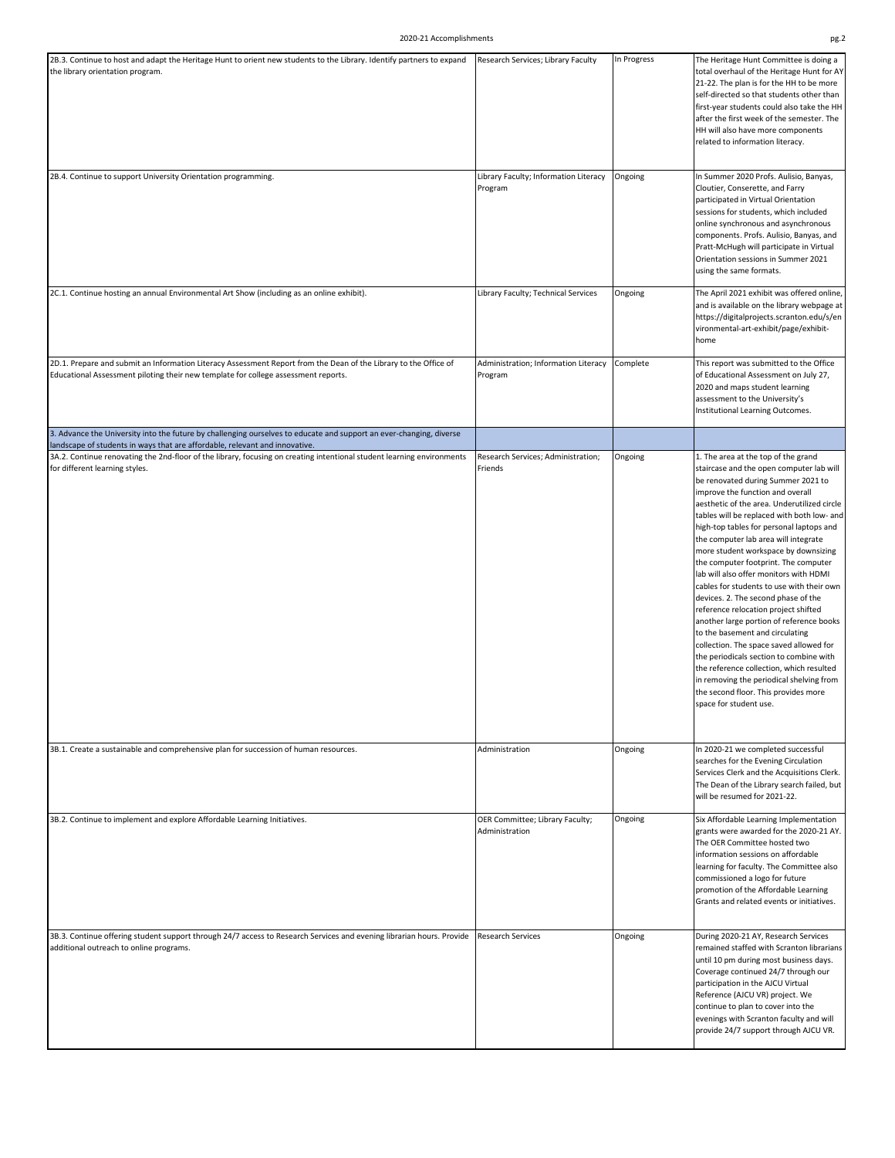| 2B.3. Continue to host and adapt the Heritage Hunt to orient new students to the Library. Identify partners to expand                                                                                  | Research Services; Library Faculty                | In Progress | The Heritage Hunt Committee is doing a                                                                                                                                                                                                                                                                                                                                                                                                                                                                                                                                                                                                                                                                                                                                                                                                                                                                                          |
|--------------------------------------------------------------------------------------------------------------------------------------------------------------------------------------------------------|---------------------------------------------------|-------------|---------------------------------------------------------------------------------------------------------------------------------------------------------------------------------------------------------------------------------------------------------------------------------------------------------------------------------------------------------------------------------------------------------------------------------------------------------------------------------------------------------------------------------------------------------------------------------------------------------------------------------------------------------------------------------------------------------------------------------------------------------------------------------------------------------------------------------------------------------------------------------------------------------------------------------|
| the library orientation program.                                                                                                                                                                       |                                                   |             | total overhaul of the Heritage Hunt for AY<br>21-22. The plan is for the HH to be more<br>self-directed so that students other than<br>first-year students could also take the HH<br>after the first week of the semester. The<br>HH will also have more components<br>related to information literacy.                                                                                                                                                                                                                                                                                                                                                                                                                                                                                                                                                                                                                         |
| 2B.4. Continue to support University Orientation programming.                                                                                                                                          | Library Faculty; Information Literacy<br>Program  | Ongoing     | In Summer 2020 Profs. Aulisio, Banyas,<br>Cloutier, Conserette, and Farry<br>participated in Virtual Orientation<br>sessions for students, which included<br>online synchronous and asynchronous<br>components. Profs. Aulisio, Banyas, and<br>Pratt-McHugh will participate in Virtual<br>Orientation sessions in Summer 2021<br>using the same formats.                                                                                                                                                                                                                                                                                                                                                                                                                                                                                                                                                                       |
| 2C.1. Continue hosting an annual Environmental Art Show (including as an online exhibit).                                                                                                              | Library Faculty; Technical Services               | Ongoing     | The April 2021 exhibit was offered online,<br>and is available on the library webpage at<br>https://digitalprojects.scranton.edu/s/en<br>vironmental-art-exhibit/page/exhibit-<br>home                                                                                                                                                                                                                                                                                                                                                                                                                                                                                                                                                                                                                                                                                                                                          |
| 2D.1. Prepare and submit an Information Literacy Assessment Report from the Dean of the Library to the Office of<br>Educational Assessment piloting their new template for college assessment reports. | Administration; Information Literacy<br>Program   | Complete    | This report was submitted to the Office<br>of Educational Assessment on July 27,<br>2020 and maps student learning<br>assessment to the University's<br>Institutional Learning Outcomes.                                                                                                                                                                                                                                                                                                                                                                                                                                                                                                                                                                                                                                                                                                                                        |
| 3. Advance the University into the future by challenging ourselves to educate and support an ever-changing, diverse<br>landscape of students in ways that are affordable, relevant and innovative.     |                                                   |             |                                                                                                                                                                                                                                                                                                                                                                                                                                                                                                                                                                                                                                                                                                                                                                                                                                                                                                                                 |
| 3A.2. Continue renovating the 2nd-floor of the library, focusing on creating intentional student learning environments<br>for different learning styles.                                               | Research Services; Administration;<br>Friends     | Ongoing     | 1. The area at the top of the grand<br>staircase and the open computer lab will<br>be renovated during Summer 2021 to<br>improve the function and overall<br>aesthetic of the area. Underutilized circle<br>tables will be replaced with both low- and<br>high-top tables for personal laptops and<br>the computer lab area will integrate<br>more student workspace by downsizing<br>the computer footprint. The computer<br>lab will also offer monitors with HDMI<br>cables for students to use with their own<br>devices. 2. The second phase of the<br>reference relocation project shifted<br>another large portion of reference books<br>to the basement and circulating<br>collection. The space saved allowed for<br>the periodicals section to combine with<br>the reference collection, which resulted<br>in removing the periodical shelving from<br>the second floor. This provides more<br>space for student use. |
| 3B.1. Create a sustainable and comprehensive plan for succession of human resources.                                                                                                                   | Administration                                    | Ongoing     | In 2020-21 we completed successful<br>searches for the Evening Circulation<br>Services Clerk and the Acquisitions Clerk.<br>The Dean of the Library search failed, but<br>will be resumed for 2021-22.                                                                                                                                                                                                                                                                                                                                                                                                                                                                                                                                                                                                                                                                                                                          |
| 3B.2. Continue to implement and explore Affordable Learning Initiatives.                                                                                                                               | OER Committee; Library Faculty;<br>Administration | Ongoing     | Six Affordable Learning Implementation<br>grants were awarded for the 2020-21 AY.<br>The OER Committee hosted two<br>information sessions on affordable<br>learning for faculty. The Committee also<br>commissioned a logo for future<br>promotion of the Affordable Learning<br>Grants and related events or initiatives.                                                                                                                                                                                                                                                                                                                                                                                                                                                                                                                                                                                                      |
| 3B.3. Continue offering student support through 24/7 access to Research Services and evening librarian hours. Provide<br>additional outreach to online programs.                                       | <b>Research Services</b>                          | Ongoing     | During 2020-21 AY, Research Services<br>remained staffed with Scranton librarians<br>until 10 pm during most business days.<br>Coverage continued 24/7 through our<br>participation in the AJCU Virtual<br>Reference (AJCU VR) project. We<br>continue to plan to cover into the<br>evenings with Scranton faculty and will<br>provide 24/7 support through AJCU VR.                                                                                                                                                                                                                                                                                                                                                                                                                                                                                                                                                            |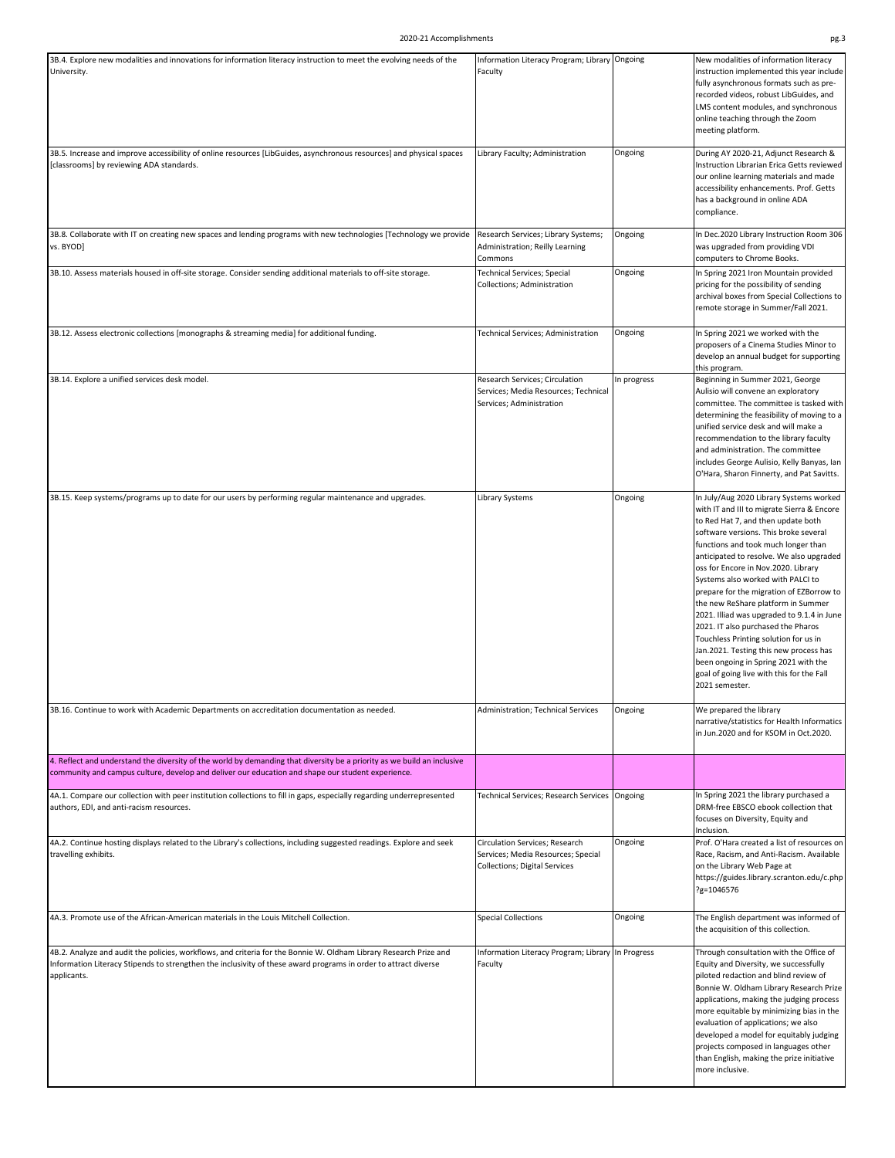| 3B.4. Explore new modalities and innovations for information literacy instruction to meet the evolving needs of the                                                                                                                                 | Information Literacy Program; Library Ongoing                                                                |             | New modalities of information literacy                                                                                                                                                                                                                                                                                                                                                                                                                                                                                                                                                                                                                                                              |
|-----------------------------------------------------------------------------------------------------------------------------------------------------------------------------------------------------------------------------------------------------|--------------------------------------------------------------------------------------------------------------|-------------|-----------------------------------------------------------------------------------------------------------------------------------------------------------------------------------------------------------------------------------------------------------------------------------------------------------------------------------------------------------------------------------------------------------------------------------------------------------------------------------------------------------------------------------------------------------------------------------------------------------------------------------------------------------------------------------------------------|
| University.                                                                                                                                                                                                                                         | Faculty                                                                                                      |             | instruction implemented this year include<br>fully asynchronous formats such as pre-<br>recorded videos, robust LibGuides, and<br>LMS content modules, and synchronous<br>online teaching through the Zoom<br>meeting platform.                                                                                                                                                                                                                                                                                                                                                                                                                                                                     |
| 3B.5. Increase and improve accessibility of online resources [LibGuides, asynchronous resources] and physical spaces<br>[classrooms] by reviewing ADA standards.                                                                                    | Library Faculty; Administration                                                                              | Ongoing     | During AY 2020-21, Adjunct Research &<br>Instruction Librarian Erica Getts reviewed<br>our online learning materials and made<br>accessibility enhancements. Prof. Getts<br>has a background in online ADA<br>compliance.                                                                                                                                                                                                                                                                                                                                                                                                                                                                           |
| 3B.8. Collaborate with IT on creating new spaces and lending programs with new technologies [Technology we provide<br>vs. BYOD]                                                                                                                     | Research Services; Library Systems;<br>Administration; Reilly Learning<br>Commons                            | Ongoing     | In Dec.2020 Library Instruction Room 306<br>was upgraded from providing VDI<br>computers to Chrome Books.                                                                                                                                                                                                                                                                                                                                                                                                                                                                                                                                                                                           |
| 3B.10. Assess materials housed in off-site storage. Consider sending additional materials to off-site storage.                                                                                                                                      | <b>Technical Services; Special</b><br>Collections; Administration                                            | Ongoing     | In Spring 2021 Iron Mountain provided<br>pricing for the possibility of sending<br>archival boxes from Special Collections to<br>remote storage in Summer/Fall 2021.                                                                                                                                                                                                                                                                                                                                                                                                                                                                                                                                |
| 3B.12. Assess electronic collections [monographs & streaming media] for additional funding.                                                                                                                                                         | Technical Services; Administration                                                                           | Ongoing     | In Spring 2021 we worked with the<br>proposers of a Cinema Studies Minor to<br>develop an annual budget for supporting                                                                                                                                                                                                                                                                                                                                                                                                                                                                                                                                                                              |
| 3B.14. Explore a unified services desk model.                                                                                                                                                                                                       | Research Services; Circulation<br>Services; Media Resources; Technical<br>Services; Administration           | In progress | this program.<br>Beginning in Summer 2021, George<br>Aulisio will convene an exploratory<br>committee. The committee is tasked with<br>determining the feasibility of moving to a<br>unified service desk and will make a<br>recommendation to the library faculty<br>and administration. The committee<br>includes George Aulisio, Kelly Banyas, Ian<br>O'Hara, Sharon Finnerty, and Pat Savitts.                                                                                                                                                                                                                                                                                                  |
| 3B.15. Keep systems/programs up to date for our users by performing regular maintenance and upgrades.                                                                                                                                               | Library Systems                                                                                              | Ongoing     | In July/Aug 2020 Library Systems worked<br>with IT and III to migrate Sierra & Encore<br>to Red Hat 7, and then update both<br>software versions. This broke several<br>functions and took much longer than<br>anticipated to resolve. We also upgraded<br>oss for Encore in Nov.2020. Library<br>Systems also worked with PALCI to<br>prepare for the migration of EZBorrow to<br>the new ReShare platform in Summer<br>2021. Illiad was upgraded to 9.1.4 in June<br>2021. IT also purchased the Pharos<br>Touchless Printing solution for us in<br>Jan.2021. Testing this new process has<br>been ongoing in Spring 2021 with the<br>goal of going live with this for the Fall<br>2021 semester. |
| 3B.16. Continue to work with Academic Departments on accreditation documentation as needed.                                                                                                                                                         | Administration; Technical Services                                                                           | Ongoing     | We prepared the library<br>narrative/statistics for Health Informatics<br>in Jun.2020 and for KSOM in Oct.2020.                                                                                                                                                                                                                                                                                                                                                                                                                                                                                                                                                                                     |
| 4. Reflect and understand the diversity of the world by demanding that diversity be a priority as we build an inclusive<br>community and campus culture, develop and deliver our education and shape our student experience.                        |                                                                                                              |             |                                                                                                                                                                                                                                                                                                                                                                                                                                                                                                                                                                                                                                                                                                     |
| 4A.1. Compare our collection with peer institution collections to fill in gaps, especially regarding underrepresented<br>authors, EDI, and anti-racism resources.                                                                                   | Technical Services; Research Services Ongoing                                                                |             | In Spring 2021 the library purchased a<br>DRM-free EBSCO ebook collection that<br>focuses on Diversity, Equity and<br>Inclusion.                                                                                                                                                                                                                                                                                                                                                                                                                                                                                                                                                                    |
| 4A.2. Continue hosting displays related to the Library's collections, including suggested readings. Explore and seek<br>travelling exhibits.                                                                                                        | Circulation Services; Research<br>Services; Media Resources; Special<br><b>Collections; Digital Services</b> | Ongoing     | Prof. O'Hara created a list of resources on<br>Race, Racism, and Anti-Racism. Available<br>on the Library Web Page at<br>https://guides.library.scranton.edu/c.php<br>?g=1046576                                                                                                                                                                                                                                                                                                                                                                                                                                                                                                                    |
| 4A.3. Promote use of the African-American materials in the Louis Mitchell Collection.                                                                                                                                                               | <b>Special Collections</b>                                                                                   | Ongoing     | The English department was informed of<br>the acquisition of this collection.                                                                                                                                                                                                                                                                                                                                                                                                                                                                                                                                                                                                                       |
| 4B.2. Analyze and audit the policies, workflows, and criteria for the Bonnie W. Oldham Library Research Prize and<br>Information Literacy Stipends to strengthen the inclusivity of these award programs in order to attract diverse<br>applicants. | Information Literacy Program; Library In Progress<br>Faculty                                                 |             | Through consultation with the Office of<br>Equity and Diversity, we successfully<br>piloted redaction and blind review of<br>Bonnie W. Oldham Library Research Prize<br>applications, making the judging process<br>more equitable by minimizing bias in the<br>evaluation of applications; we also<br>developed a model for equitably judging<br>projects composed in languages other<br>than English, making the prize initiative<br>more inclusive.                                                                                                                                                                                                                                              |